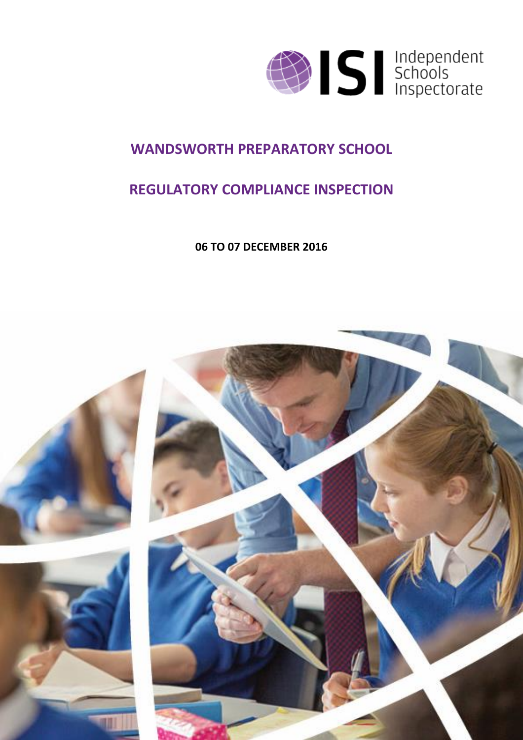

### **WANDSWORTH PREPARATORY SCHOOL**

### **REGULATORY COMPLIANCE INSPECTION**

**06 TO 07 DECEMBER 2016**

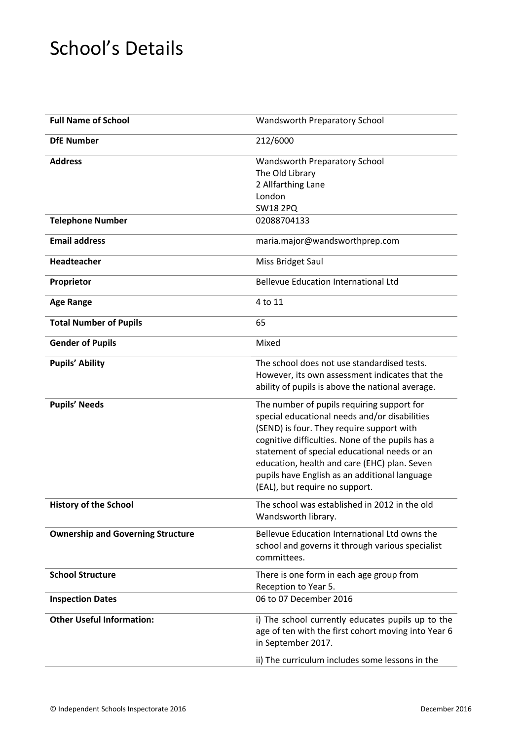## School's Details

| <b>Full Name of School</b>               | Wandsworth Preparatory School                                                                                                                                                                                                                                                                                                                                                   |
|------------------------------------------|---------------------------------------------------------------------------------------------------------------------------------------------------------------------------------------------------------------------------------------------------------------------------------------------------------------------------------------------------------------------------------|
| <b>DfE Number</b>                        | 212/6000                                                                                                                                                                                                                                                                                                                                                                        |
| <b>Address</b>                           | Wandsworth Preparatory School<br>The Old Library<br>2 Allfarthing Lane<br>London<br><b>SW18 2PQ</b>                                                                                                                                                                                                                                                                             |
| <b>Telephone Number</b>                  | 02088704133                                                                                                                                                                                                                                                                                                                                                                     |
| <b>Email address</b>                     | maria.major@wandsworthprep.com                                                                                                                                                                                                                                                                                                                                                  |
| Headteacher                              | Miss Bridget Saul                                                                                                                                                                                                                                                                                                                                                               |
| Proprietor                               | <b>Bellevue Education International Ltd</b>                                                                                                                                                                                                                                                                                                                                     |
| <b>Age Range</b>                         | 4 to 11                                                                                                                                                                                                                                                                                                                                                                         |
| <b>Total Number of Pupils</b>            | 65                                                                                                                                                                                                                                                                                                                                                                              |
| <b>Gender of Pupils</b>                  | Mixed                                                                                                                                                                                                                                                                                                                                                                           |
| <b>Pupils' Ability</b>                   | The school does not use standardised tests.<br>However, its own assessment indicates that the<br>ability of pupils is above the national average.                                                                                                                                                                                                                               |
| <b>Pupils' Needs</b>                     | The number of pupils requiring support for<br>special educational needs and/or disabilities<br>(SEND) is four. They require support with<br>cognitive difficulties. None of the pupils has a<br>statement of special educational needs or an<br>education, health and care (EHC) plan. Seven<br>pupils have English as an additional language<br>(EAL), but require no support. |
| <b>History of the School</b>             | The school was established in 2012 in the old<br>Wandsworth library.                                                                                                                                                                                                                                                                                                            |
| <b>Ownership and Governing Structure</b> | Bellevue Education International Ltd owns the<br>school and governs it through various specialist<br>committees.                                                                                                                                                                                                                                                                |
| <b>School Structure</b>                  | There is one form in each age group from<br>Reception to Year 5.                                                                                                                                                                                                                                                                                                                |
| <b>Inspection Dates</b>                  | 06 to 07 December 2016                                                                                                                                                                                                                                                                                                                                                          |
| <b>Other Useful Information:</b>         | i) The school currently educates pupils up to the<br>age of ten with the first cohort moving into Year 6<br>in September 2017.                                                                                                                                                                                                                                                  |
|                                          | ii) The curriculum includes some lessons in the                                                                                                                                                                                                                                                                                                                                 |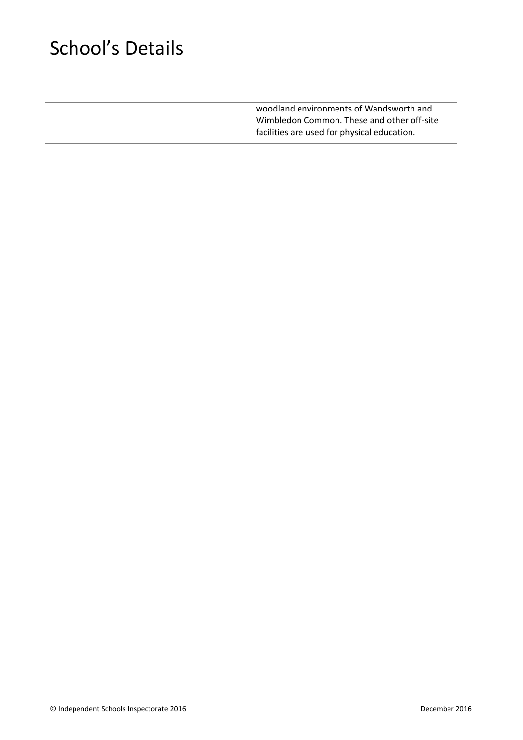# School's Details

woodland environments of Wandsworth and Wimbledon Common. These and other off-site facilities are used for physical education.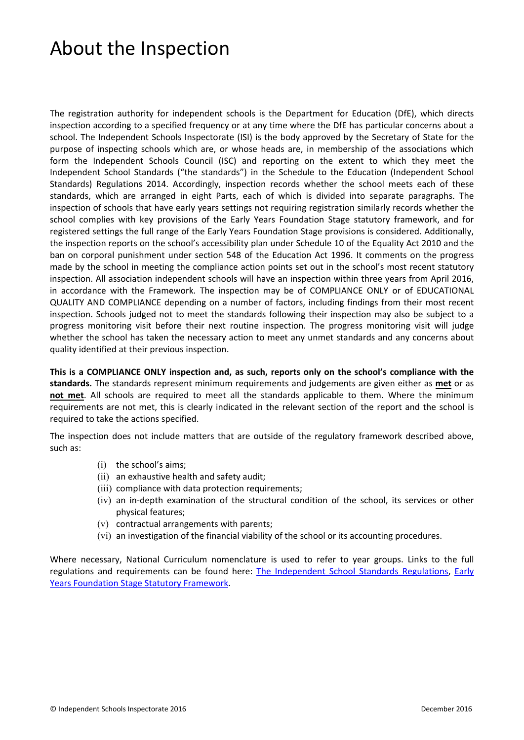### About the Inspection

The registration authority for independent schools is the Department for Education (DfE), which directs inspection according to a specified frequency or at any time where the DfE has particular concerns about a school. The Independent Schools Inspectorate (ISI) is the body approved by the Secretary of State for the purpose of inspecting schools which are, or whose heads are, in membership of the associations which form the Independent Schools Council (ISC) and reporting on the extent to which they meet the Independent School Standards ("the standards") in the Schedule to the Education (Independent School Standards) Regulations 2014. Accordingly, inspection records whether the school meets each of these standards, which are arranged in eight Parts, each of which is divided into separate paragraphs. The inspection of schools that have early years settings not requiring registration similarly records whether the school complies with key provisions of the Early Years Foundation Stage statutory framework, and for registered settings the full range of the Early Years Foundation Stage provisions is considered. Additionally, the inspection reports on the school's accessibility plan under Schedule 10 of the Equality Act 2010 and the ban on corporal punishment under section 548 of the Education Act 1996. It comments on the progress made by the school in meeting the compliance action points set out in the school's most recent statutory inspection. All association independent schools will have an inspection within three years from April 2016, in accordance with the Framework. The inspection may be of COMPLIANCE ONLY or of EDUCATIONAL QUALITY AND COMPLIANCE depending on a number of factors, including findings from their most recent inspection. Schools judged not to meet the standards following their inspection may also be subject to a progress monitoring visit before their next routine inspection. The progress monitoring visit will judge whether the school has taken the necessary action to meet any unmet standards and any concerns about quality identified at their previous inspection.

**This is a COMPLIANCE ONLY inspection and, as such, reports only on the school's compliance with the standards.** The standards represent minimum requirements and judgements are given either as **met** or as **not met**. All schools are required to meet all the standards applicable to them. Where the minimum requirements are not met, this is clearly indicated in the relevant section of the report and the school is required to take the actions specified.

The inspection does not include matters that are outside of the regulatory framework described above, such as:

- (i) the school's aims;
- (ii) an exhaustive health and safety audit;
- (iii) compliance with data protection requirements;
- (iv) an in-depth examination of the structural condition of the school, its services or other physical features;
- (v) contractual arrangements with parents;
- (vi) an investigation of the financial viability of the school or its accounting procedures.

Where necessary, National Curriculum nomenclature is used to refer to year groups. Links to the full regulations and requirements can be found here: The [Independent](http://www.legislation.gov.uk/uksi/2014/3283/contents/made) School Standards Regulations, [Early](https://www.gov.uk/government/publications/early-years-foundation-stage-framework--2) Years [Foundation](https://www.gov.uk/government/publications/early-years-foundation-stage-framework--2) Stage Statutory Framework.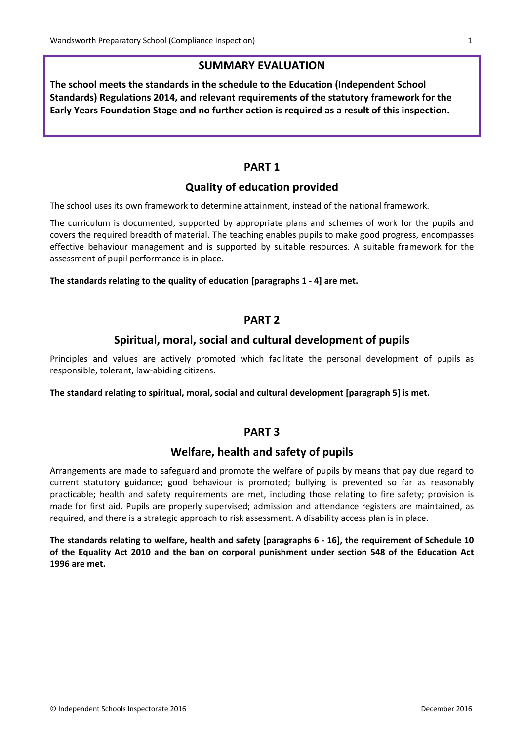#### **SUMMARY EVALUATION**

**The school meets the standards in the schedule to the Education (Independent School Standards) Regulations 2014, and relevant requirements of the statutory framework for the Early Years Foundation Stage and no further action is required as a result of this inspection.**

#### **PART 1**

#### **Quality of education provided**

The school uses its own framework to determine attainment, instead of the national framework.

The curriculum is documented, supported by appropriate plans and schemes of work for the pupils and covers the required breadth of material. The teaching enables pupils to make good progress, encompasses effective behaviour management and is supported by suitable resources. A suitable framework for the assessment of pupil performance is in place.

#### **The standards relating to the quality of education [paragraphs 1 - 4] are met.**

#### **PART 2**

#### **Spiritual, moral, social and cultural development of pupils**

Principles and values are actively promoted which facilitate the personal development of pupils as responsible, tolerant, law-abiding citizens.

**The standard relating to spiritual, moral, social and cultural development [paragraph 5] is met.**

#### **PART 3**

#### **Welfare, health and safety of pupils**

Arrangements are made to safeguard and promote the welfare of pupils by means that pay due regard to current statutory guidance; good behaviour is promoted; bullying is prevented so far as reasonably practicable; health and safety requirements are met, including those relating to fire safety; provision is made for first aid. Pupils are properly supervised; admission and attendance registers are maintained, as required, and there is a strategic approach to risk assessment. A disability access plan is in place.

**The standards relating to welfare, health and safety [paragraphs 6 - 16], the requirement of Schedule 10 of the Equality Act 2010 and the ban on corporal punishment under section 548 of the Education Act 1996 are met.**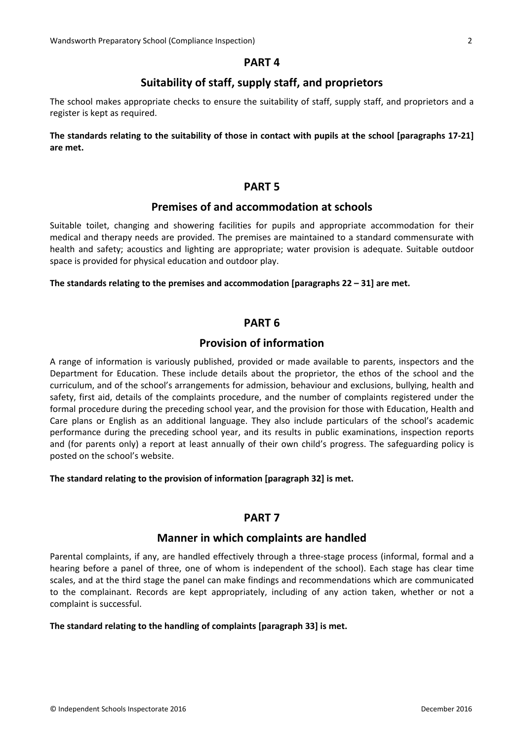#### **PART 4**

#### **Suitability of staff, supply staff, and proprietors**

The school makes appropriate checks to ensure the suitability of staff, supply staff, and proprietors and a register is kept as required.

The standards relating to the suitability of those in contact with pupils at the school [paragraphs 17-21] **are met.**

#### **PART 5**

#### **Premises of and accommodation at schools**

Suitable toilet, changing and showering facilities for pupils and appropriate accommodation for their medical and therapy needs are provided. The premises are maintained to a standard commensurate with health and safety; acoustics and lighting are appropriate; water provision is adequate. Suitable outdoor space is provided for physical education and outdoor play.

**The standards relating to the premises and accommodation [paragraphs 22 – 31] are met.**

#### **PART 6**

#### **Provision of information**

A range of information is variously published, provided or made available to parents, inspectors and the Department for Education. These include details about the proprietor, the ethos of the school and the curriculum, and of the school's arrangements for admission, behaviour and exclusions, bullying, health and safety, first aid, details of the complaints procedure, and the number of complaints registered under the formal procedure during the preceding school year, and the provision for those with Education, Health and Care plans or English as an additional language. They also include particulars of the school's academic performance during the preceding school year, and its results in public examinations, inspection reports and (for parents only) a report at least annually of their own child's progress. The safeguarding policy is posted on the school's website.

#### **The standard relating to the provision of information [paragraph 32] is met.**

#### **PART 7**

#### **Manner in which complaints are handled**

Parental complaints, if any, are handled effectively through a three-stage process (informal, formal and a hearing before a panel of three, one of whom is independent of the school). Each stage has clear time scales, and at the third stage the panel can make findings and recommendations which are communicated to the complainant. Records are kept appropriately, including of any action taken, whether or not a complaint is successful.

#### **The standard relating to the handling of complaints [paragraph 33] is met.**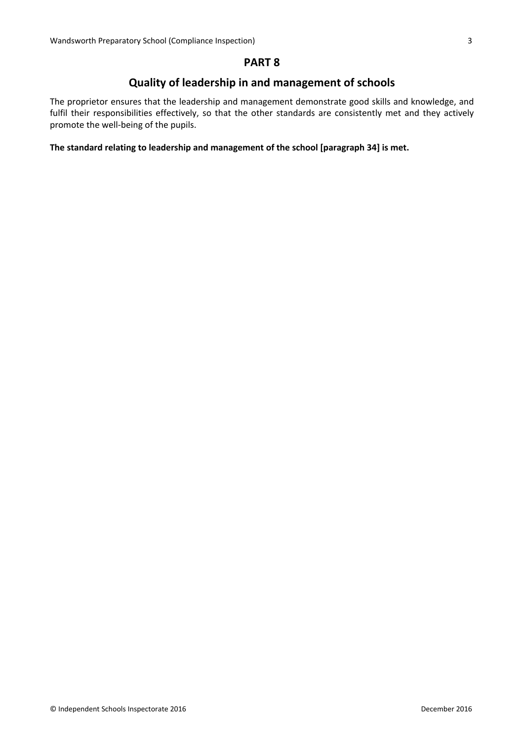#### **PART 8**

### **Quality of leadership in and management of schools**

The proprietor ensures that the leadership and management demonstrate good skills and knowledge, and fulfil their responsibilities effectively, so that the other standards are consistently met and they actively promote the well-being of the pupils.

#### **The standard relating to leadership and management of the school [paragraph 34] is met.**